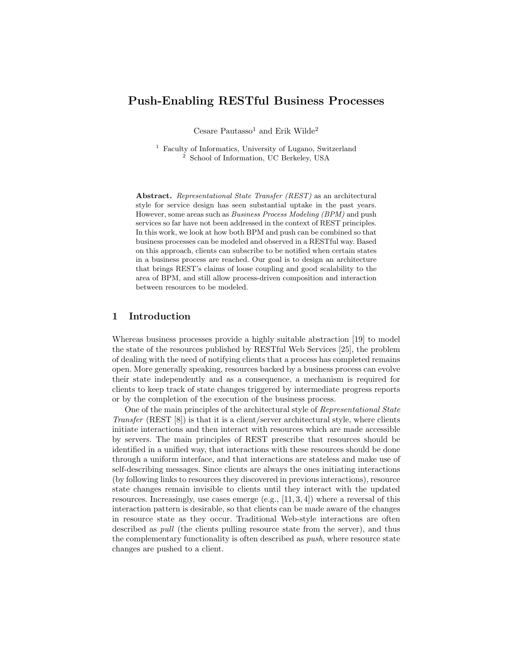# Push-Enabling RESTful Business Processes

Cesare Pautasso<sup>1</sup> and Erik Wilde<sup>2</sup>

<sup>1</sup> Faculty of Informatics, University of Lugano, Switzerland <sup>2</sup> School of Information, UC Berkeley, USA

Abstract. Representational State Transfer (REST) as an architectural style for service design has seen substantial uptake in the past years. However, some areas such as Business Process Modeling (BPM) and push services so far have not been addressed in the context of REST principles. In this work, we look at how both BPM and push can be combined so that business processes can be modeled and observed in a RESTful way. Based on this approach, clients can subscribe to be notified when certain states in a business process are reached. Our goal is to design an architecture that brings REST's claims of loose coupling and good scalability to the area of BPM, and still allow process-driven composition and interaction between resources to be modeled.

## 1 Introduction

Whereas business processes provide a highly suitable abstraction [19] to model the state of the resources published by RESTful Web Services [25], the problem of dealing with the need of notifying clients that a process has completed remains open. More generally speaking, resources backed by a business process can evolve their state independently and as a consequence, a mechanism is required for clients to keep track of state changes triggered by intermediate progress reports or by the completion of the execution of the business process.

One of the main principles of the architectural style of Representational State Transfer (REST [8]) is that it is a client/server architectural style, where clients initiate interactions and then interact with resources which are made accessible by servers. The main principles of REST prescribe that resources should be identified in a unified way, that interactions with these resources should be done through a uniform interface, and that interactions are stateless and make use of self-describing messages. Since clients are always the ones initiating interactions (by following links to resources they discovered in previous interactions), resource state changes remain invisible to clients until they interact with the updated resources. Increasingly, use cases emerge  $(e.g., [11, 3, 4])$  where a reversal of this interaction pattern is desirable, so that clients can be made aware of the changes in resource state as they occur. Traditional Web-style interactions are often described as *pull* (the clients pulling resource state from the server), and thus the complementary functionality is often described as push, where resource state changes are pushed to a client.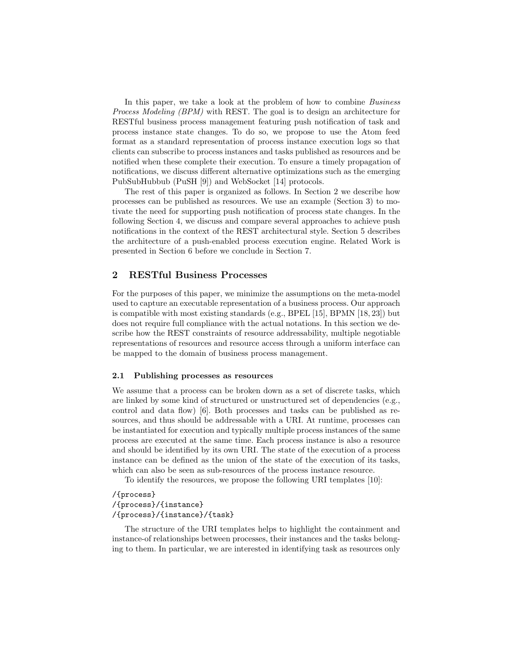In this paper, we take a look at the problem of how to combine Business Process Modeling (BPM) with REST. The goal is to design an architecture for RESTful business process management featuring push notification of task and process instance state changes. To do so, we propose to use the Atom feed format as a standard representation of process instance execution logs so that clients can subscribe to process instances and tasks published as resources and be notified when these complete their execution. To ensure a timely propagation of notifications, we discuss different alternative optimizations such as the emerging PubSubHubbub (PuSH [9]) and WebSocket [14] protocols.

The rest of this paper is organized as follows. In Section 2 we describe how processes can be published as resources. We use an example (Section 3) to motivate the need for supporting push notification of process state changes. In the following Section 4, we discuss and compare several approaches to achieve push notifications in the context of the REST architectural style. Section 5 describes the architecture of a push-enabled process execution engine. Related Work is presented in Section 6 before we conclude in Section 7.

# 2 RESTful Business Processes

For the purposes of this paper, we minimize the assumptions on the meta-model used to capture an executable representation of a business process. Our approach is compatible with most existing standards (e.g., BPEL [15], BPMN [18, 23]) but does not require full compliance with the actual notations. In this section we describe how the REST constraints of resource addressability, multiple negotiable representations of resources and resource access through a uniform interface can be mapped to the domain of business process management.

### 2.1 Publishing processes as resources

We assume that a process can be broken down as a set of discrete tasks, which are linked by some kind of structured or unstructured set of dependencies (e.g., control and data flow) [6]. Both processes and tasks can be published as resources, and thus should be addressable with a URI. At runtime, processes can be instantiated for execution and typically multiple process instances of the same process are executed at the same time. Each process instance is also a resource and should be identified by its own URI. The state of the execution of a process instance can be defined as the union of the state of the execution of its tasks, which can also be seen as sub-resources of the process instance resource.

To identify the resources, we propose the following URI templates [10]:

# /{process} /{process}/{instance} /{process}/{instance}/{task}

The structure of the URI templates helps to highlight the containment and instance-of relationships between processes, their instances and the tasks belonging to them. In particular, we are interested in identifying task as resources only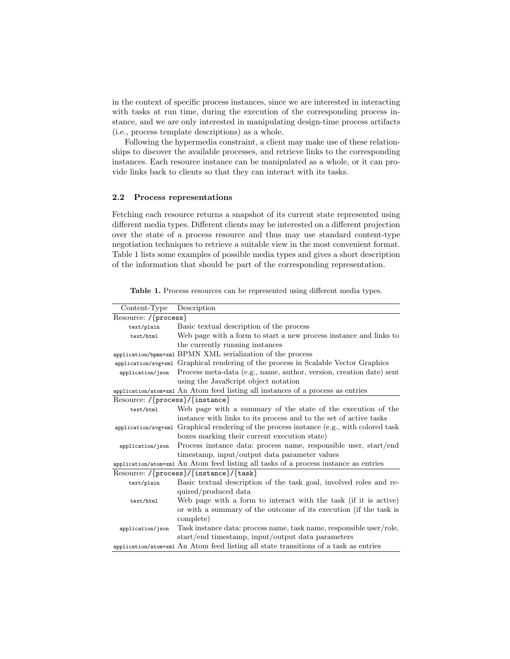in the context of specific process instances, since we are interested in interacting with tasks at run time, during the execution of the corresponding process instance, and we are only interested in manipulating design-time process artifacts (i.e., process template descriptions) as a whole.

Following the hypermedia constraint, a client may make use of these relationships to discover the available processes, and retrieve links to the corresponding instances. Each resource instance can be manipulated as a whole, or it can provide links back to clients so that they can interact with its tasks.

#### 2.2 Process representations

Fetching each resource returns a snapshot of its current state represented using different media types. Different clients may be interested on a different projection over the state of a process resource and thus may use standard content-type negotiation techniques to retrieve a suitable view in the most convenient format. Table 1 lists some examples of possible media types and gives a short description of the information that should be part of the corresponding representation.

|  |  |  |  |  |  | Table 1. Process resources can be represented using different media types. |  |  |  |  |
|--|--|--|--|--|--|----------------------------------------------------------------------------|--|--|--|--|
|--|--|--|--|--|--|----------------------------------------------------------------------------|--|--|--|--|

| Content-Type                    | Description                                                                              |
|---------------------------------|------------------------------------------------------------------------------------------|
| Resource: / {process}           |                                                                                          |
| text/plain                      | Basic textual description of the process                                                 |
| text/html                       | Web page with a form to start a new process instance and links to                        |
|                                 | the currently running instances                                                          |
|                                 | application/bpmn+xml BPMN XML serialization of the process                               |
|                                 | application/svg+xml Graphical rendering of the process in Scalable Vector Graphics       |
| application/json                | Process meta-data (e.g., name, author, version, creation date) sent                      |
|                                 | using the JavaScript object notation                                                     |
|                                 | application/atom+xml An Atom feed listing all instances of a process as entries          |
| Resource: /{process}/{instance} |                                                                                          |
| text/html                       | Web page with a summary of the state of the execution of the                             |
|                                 | instance with links to its process and to the set of active tasks                        |
|                                 | application/svg+xml Graphical rendering of the process instance (e.g., with colored task |
|                                 | boxes marking their current execution state)                                             |
| application/json                | Process instance data: process name, responsible user, start/end                         |
|                                 | timestamp, input/output data parameter values                                            |
|                                 | application/atom+xml An Atom feed listing all tasks of a process instance as entries     |
|                                 | Resource: /{process}/{instance}/{task}                                                   |
| text/plain                      | Basic textual description of the task goal, involved roles and re-                       |
|                                 | quired/produced data                                                                     |
| text/html                       | Web page with a form to interact with the task (if it is active)                         |
|                                 | or with a summary of the outcome of its execution (if the task is                        |
|                                 | complete)                                                                                |
| application/json                | Task instance data: process name, task name, responsible user/role,                      |
|                                 | start/end timestamp, input/output data parameters                                        |
|                                 | application/atom+xml An Atom feed listing all state transitions of a task as entries     |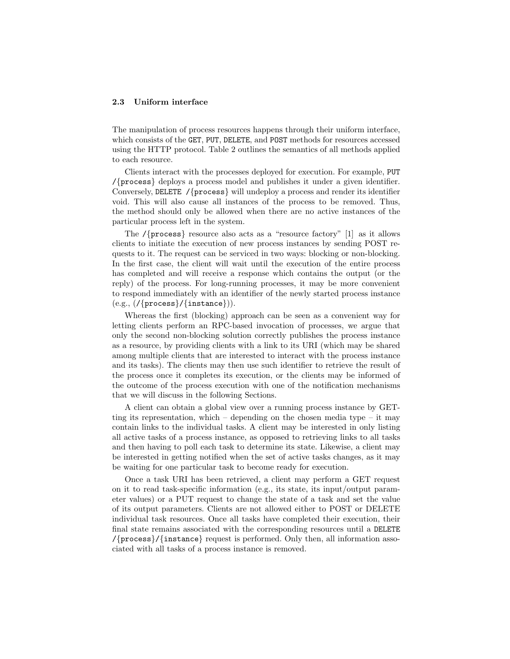#### 2.3 Uniform interface

The manipulation of process resources happens through their uniform interface, which consists of the GET, PUT, DELETE, and POST methods for resources accessed using the HTTP protocol. Table 2 outlines the semantics of all methods applied to each resource.

Clients interact with the processes deployed for execution. For example, PUT /{process} deploys a process model and publishes it under a given identifier. Conversely, DELETE /{process} will undeploy a process and render its identifier void. This will also cause all instances of the process to be removed. Thus, the method should only be allowed when there are no active instances of the particular process left in the system.

The /{process} resource also acts as a "resource factory" [1] as it allows clients to initiate the execution of new process instances by sending POST requests to it. The request can be serviced in two ways: blocking or non-blocking. In the first case, the client will wait until the execution of the entire process has completed and will receive a response which contains the output (or the reply) of the process. For long-running processes, it may be more convenient to respond immediately with an identifier of the newly started process instance  $(e.g., \sqrt{\{process\}}/\{instance\}).$ 

Whereas the first (blocking) approach can be seen as a convenient way for letting clients perform an RPC-based invocation of processes, we argue that only the second non-blocking solution correctly publishes the process instance as a resource, by providing clients with a link to its URI (which may be shared among multiple clients that are interested to interact with the process instance and its tasks). The clients may then use such identifier to retrieve the result of the process once it completes its execution, or the clients may be informed of the outcome of the process execution with one of the notification mechanisms that we will discuss in the following Sections.

A client can obtain a global view over a running process instance by GETting its representation, which – depending on the chosen media type – it may contain links to the individual tasks. A client may be interested in only listing all active tasks of a process instance, as opposed to retrieving links to all tasks and then having to poll each task to determine its state. Likewise, a client may be interested in getting notified when the set of active tasks changes, as it may be waiting for one particular task to become ready for execution.

Once a task URI has been retrieved, a client may perform a GET request on it to read task-specific information (e.g., its state, its input/output parameter values) or a PUT request to change the state of a task and set the value of its output parameters. Clients are not allowed either to POST or DELETE individual task resources. Once all tasks have completed their execution, their final state remains associated with the corresponding resources until a DELETE /{process}/{instance} request is performed. Only then, all information associated with all tasks of a process instance is removed.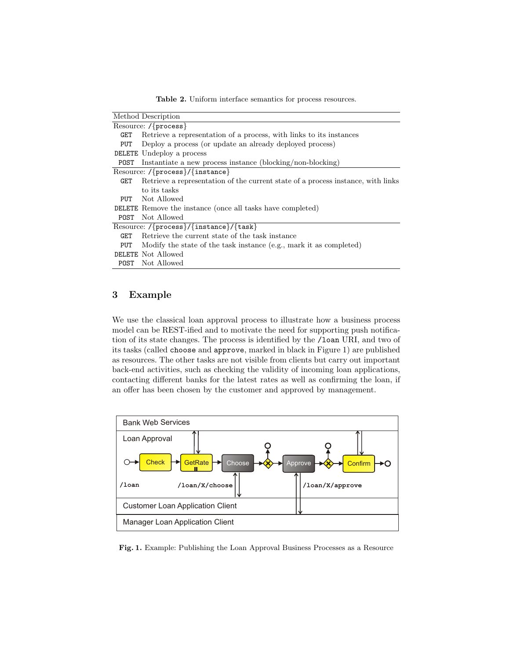Table 2. Uniform interface semantics for process resources.

| Resource: / {process}<br>Retrieve a representation of a process, with links to its instances<br>GET<br>Deploy a process (or update an already deployed process)<br>PUT<br><b>DELETE</b> Undeploy a process<br>Instantiate a new process instance (blocking/non-blocking)<br>POST<br>Resource: /{process}/{instance}<br>Retrieve a representation of the current state of a process instance, with links<br>GET<br>to its tasks<br><b>PUT</b> Not Allowed<br><b>DELETE</b> Remove the instance (once all tasks have completed) |
|-------------------------------------------------------------------------------------------------------------------------------------------------------------------------------------------------------------------------------------------------------------------------------------------------------------------------------------------------------------------------------------------------------------------------------------------------------------------------------------------------------------------------------|
|                                                                                                                                                                                                                                                                                                                                                                                                                                                                                                                               |
|                                                                                                                                                                                                                                                                                                                                                                                                                                                                                                                               |
|                                                                                                                                                                                                                                                                                                                                                                                                                                                                                                                               |
|                                                                                                                                                                                                                                                                                                                                                                                                                                                                                                                               |
|                                                                                                                                                                                                                                                                                                                                                                                                                                                                                                                               |
|                                                                                                                                                                                                                                                                                                                                                                                                                                                                                                                               |
|                                                                                                                                                                                                                                                                                                                                                                                                                                                                                                                               |
|                                                                                                                                                                                                                                                                                                                                                                                                                                                                                                                               |
|                                                                                                                                                                                                                                                                                                                                                                                                                                                                                                                               |
|                                                                                                                                                                                                                                                                                                                                                                                                                                                                                                                               |
| Not Allowed<br>POST                                                                                                                                                                                                                                                                                                                                                                                                                                                                                                           |
| Resource: /{process}/{instance}/{task}                                                                                                                                                                                                                                                                                                                                                                                                                                                                                        |
| Retrieve the current state of the task instance<br><b>GET</b>                                                                                                                                                                                                                                                                                                                                                                                                                                                                 |
| Modify the state of the task instance (e.g., mark it as completed)<br>PUT                                                                                                                                                                                                                                                                                                                                                                                                                                                     |
| DELETE Not Allowed                                                                                                                                                                                                                                                                                                                                                                                                                                                                                                            |
| <b>POST</b> Not Allowed                                                                                                                                                                                                                                                                                                                                                                                                                                                                                                       |

# 3 Example

We use the classical loan approval process to illustrate how a business process model can be REST-ified and to motivate the need for supporting push notification of its state changes. The process is identified by the /loan URI, and two of its tasks (called choose and approve, marked in black in Figure 1) are published as resources. The other tasks are not visible from clients but carry out important back-end activities, such as checking the validity of incoming loan applications, contacting different banks for the latest rates as well as confirming the loan, if an offer has been chosen by the customer and approved by management.



Fig. 1. Example: Publishing the Loan Approval Business Processes as a Resource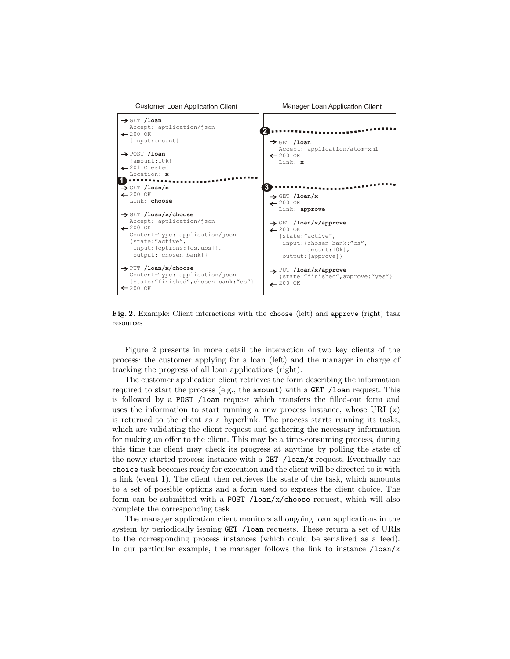

Fig. 2. Example: Client interactions with the choose (left) and approve (right) task resources

Figure 2 presents in more detail the interaction of two key clients of the process: the customer applying for a loan (left) and the manager in charge of tracking the progress of all loan applications (right).

The customer application client retrieves the form describing the information required to start the process (e.g., the amount) with a GET /loan request. This is followed by a POST /loan request which transfers the filled-out form and uses the information to start running a new process instance, whose URI  $(x)$ is returned to the client as a hyperlink. The process starts running its tasks, which are validating the client request and gathering the necessary information for making an offer to the client. This may be a time-consuming process, during this time the client may check its progress at anytime by polling the state of the newly started process instance with a GET /loan/x request. Eventually the choice task becomes ready for execution and the client will be directed to it with a link (event 1). The client then retrieves the state of the task, which amounts to a set of possible options and a form used to express the client choice. The form can be submitted with a POST /loan/x/choose request, which will also complete the corresponding task.

The manager application client monitors all ongoing loan applications in the system by periodically issuing GET /loan requests. These return a set of URIs to the corresponding process instances (which could be serialized as a feed). In our particular example, the manager follows the link to instance  $\Lambda x$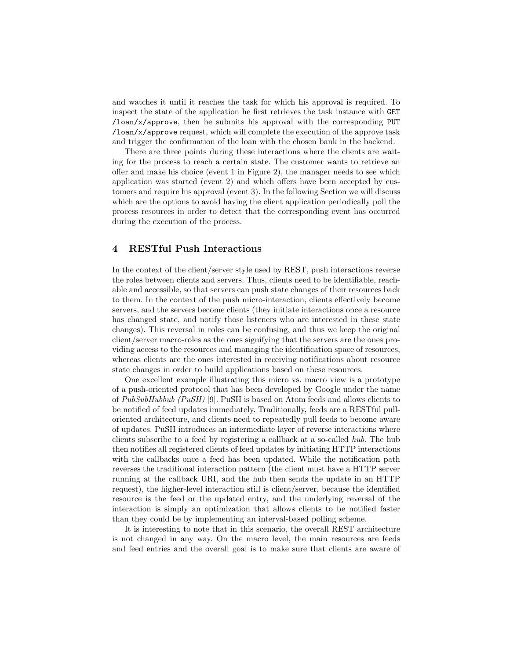and watches it until it reaches the task for which his approval is required. To inspect the state of the application he first retrieves the task instance with GET /loan/x/approve, then he submits his approval with the corresponding PUT /loan/x/approve request, which will complete the execution of the approve task and trigger the confirmation of the loan with the chosen bank in the backend.

There are three points during these interactions where the clients are waiting for the process to reach a certain state. The customer wants to retrieve an offer and make his choice (event 1 in Figure 2), the manager needs to see which application was started (event 2) and which offers have been accepted by customers and require his approval (event 3). In the following Section we will discuss which are the options to avoid having the client application periodically poll the process resources in order to detect that the corresponding event has occurred during the execution of the process.

### 4 RESTful Push Interactions

In the context of the client/server style used by REST, push interactions reverse the roles between clients and servers. Thus, clients need to be identifiable, reachable and accessible, so that servers can push state changes of their resources back to them. In the context of the push micro-interaction, clients effectively become servers, and the servers become clients (they initiate interactions once a resource has changed state, and notify those listeners who are interested in these state changes). This reversal in roles can be confusing, and thus we keep the original client/server macro-roles as the ones signifying that the servers are the ones providing access to the resources and managing the identification space of resources, whereas clients are the ones interested in receiving notifications about resource state changes in order to build applications based on these resources.

One excellent example illustrating this micro vs. macro view is a prototype of a push-oriented protocol that has been developed by Google under the name of  $PubSubHubbub$  ( $PuSH$ ) [9]. PuSH is based on Atom feeds and allows clients to be notified of feed updates immediately. Traditionally, feeds are a RESTful pulloriented architecture, and clients need to repeatedly pull feeds to become aware of updates. PuSH introduces an intermediate layer of reverse interactions where clients subscribe to a feed by registering a callback at a so-called hub. The hub then notifies all registered clients of feed updates by initiating HTTP interactions with the callbacks once a feed has been updated. While the notification path reverses the traditional interaction pattern (the client must have a HTTP server running at the callback URI, and the hub then sends the update in an HTTP request), the higher-level interaction still is client/server, because the identified resource is the feed or the updated entry, and the underlying reversal of the interaction is simply an optimization that allows clients to be notified faster than they could be by implementing an interval-based polling scheme.

It is interesting to note that in this scenario, the overall REST architecture is not changed in any way. On the macro level, the main resources are feeds and feed entries and the overall goal is to make sure that clients are aware of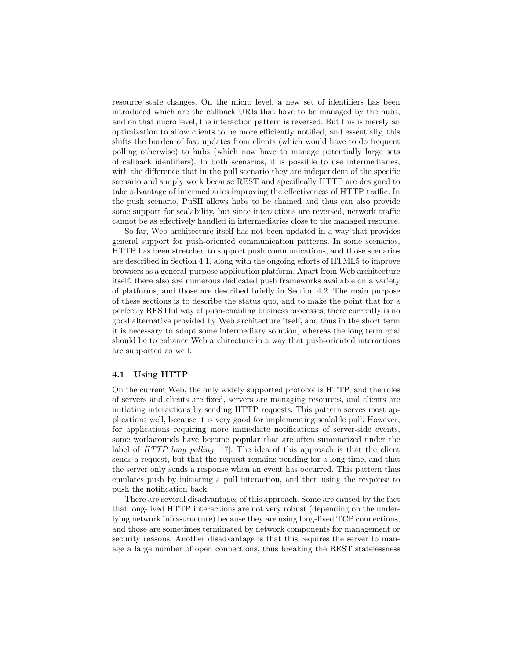resource state changes. On the micro level, a new set of identifiers has been introduced which are the callback URIs that have to be managed by the hubs, and on that micro level, the interaction pattern is reversed. But this is merely an optimization to allow clients to be more efficiently notified, and essentially, this shifts the burden of fast updates from clients (which would have to do frequent polling otherwise) to hubs (which now have to manage potentially large sets of callback identifiers). In both scenarios, it is possible to use intermediaries, with the difference that in the pull scenario they are independent of the specific scenario and simply work because REST and specifically HTTP are designed to take advantage of intermediaries improving the effectiveness of HTTP traffic. In the push scenario, PuSH allows hubs to be chained and thus can also provide some support for scalability, but since interactions are reversed, network traffic cannot be as effectively handled in intermediaries close to the managed resource.

So far, Web architecture itself has not been updated in a way that provides general support for push-oriented communication patterns. In some scenarios, HTTP has been stretched to support push communications, and those scenarios are described in Section 4.1, along with the ongoing efforts of HTML5 to improve browsers as a general-purpose application platform. Apart from Web architecture itself, there also are numerous dedicated push frameworks available on a variety of platforms, and those are described briefly in Section 4.2. The main purpose of these sections is to describe the status quo, and to make the point that for a perfectly RESTful way of push-enabling business processes, there currently is no good alternative provided by Web architecture itself, and thus in the short term it is necessary to adopt some intermediary solution, whereas the long term goal should be to enhance Web architecture in a way that push-oriented interactions are supported as well.

#### 4.1 Using HTTP

On the current Web, the only widely supported protocol is HTTP, and the roles of servers and clients are fixed, servers are managing resources, and clients are initiating interactions by sending HTTP requests. This pattern serves most applications well, because it is very good for implementing scalable pull. However, for applications requiring more immediate notifications of server-side events, some workarounds have become popular that are often summarized under the label of HTTP long polling [17]. The idea of this approach is that the client sends a request, but that the request remains pending for a long time, and that the server only sends a response when an event has occurred. This pattern thus emulates push by initiating a pull interaction, and then using the response to push the notification back.

There are several disadvantages of this approach. Some are caused by the fact that long-lived HTTP interactions are not very robust (depending on the underlying network infrastructure) because they are using long-lived TCP connections, and those are sometimes terminated by network components for management or security reasons. Another disadvantage is that this requires the server to manage a large number of open connections, thus breaking the REST statelessness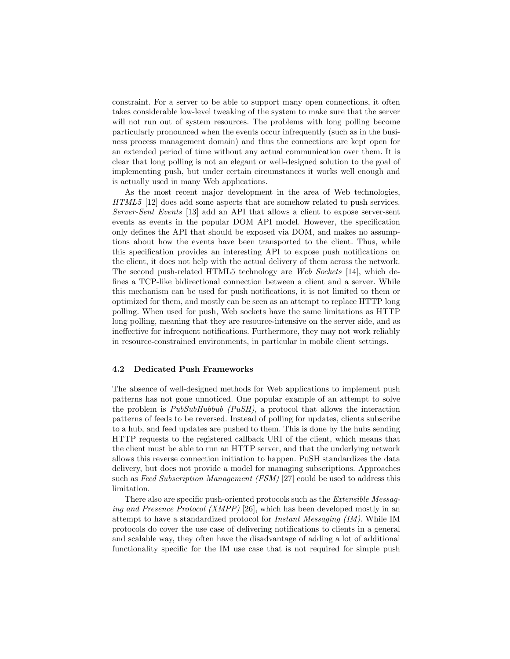constraint. For a server to be able to support many open connections, it often takes considerable low-level tweaking of the system to make sure that the server will not run out of system resources. The problems with long polling become particularly pronounced when the events occur infrequently (such as in the business process management domain) and thus the connections are kept open for an extended period of time without any actual communication over them. It is clear that long polling is not an elegant or well-designed solution to the goal of implementing push, but under certain circumstances it works well enough and is actually used in many Web applications.

As the most recent major development in the area of Web technologies, HTML5 [12] does add some aspects that are somehow related to push services. Server-Sent Events [13] add an API that allows a client to expose server-sent events as events in the popular DOM API model. However, the specification only defines the API that should be exposed via DOM, and makes no assumptions about how the events have been transported to the client. Thus, while this specification provides an interesting API to expose push notifications on the client, it does not help with the actual delivery of them across the network. The second push-related HTML5 technology are Web Sockets [14], which defines a TCP-like bidirectional connection between a client and a server. While this mechanism can be used for push notifications, it is not limited to them or optimized for them, and mostly can be seen as an attempt to replace HTTP long polling. When used for push, Web sockets have the same limitations as HTTP long polling, meaning that they are resource-intensive on the server side, and as ineffective for infrequent notifications. Furthermore, they may not work reliably in resource-constrained environments, in particular in mobile client settings.

#### 4.2 Dedicated Push Frameworks

The absence of well-designed methods for Web applications to implement push patterns has not gone unnoticed. One popular example of an attempt to solve the problem is PubSubHubbub (PuSH), a protocol that allows the interaction patterns of feeds to be reversed. Instead of polling for updates, clients subscribe to a hub, and feed updates are pushed to them. This is done by the hubs sending HTTP requests to the registered callback URI of the client, which means that the client must be able to run an HTTP server, and that the underlying network allows this reverse connection initiation to happen. PuSH standardizes the data delivery, but does not provide a model for managing subscriptions. Approaches such as Feed Subscription Management (FSM) [27] could be used to address this limitation.

There also are specific push-oriented protocols such as the Extensible Messaging and Presence Protocol (XMPP) [26], which has been developed mostly in an attempt to have a standardized protocol for Instant Messaging (IM). While IM protocols do cover the use case of delivering notifications to clients in a general and scalable way, they often have the disadvantage of adding a lot of additional functionality specific for the IM use case that is not required for simple push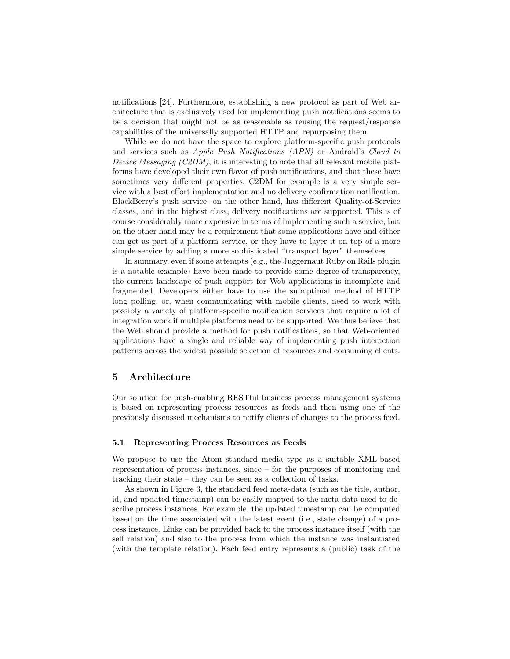notifications [24]. Furthermore, establishing a new protocol as part of Web architecture that is exclusively used for implementing push notifications seems to be a decision that might not be as reasonable as reusing the request/response capabilities of the universally supported HTTP and repurposing them.

While we do not have the space to explore platform-specific push protocols and services such as Apple Push Notifications (APN) or Android's Cloud to Device Messaging (C2DM), it is interesting to note that all relevant mobile platforms have developed their own flavor of push notifications, and that these have sometimes very different properties. C2DM for example is a very simple service with a best effort implementation and no delivery confirmation notification. BlackBerry's push service, on the other hand, has different Quality-of-Service classes, and in the highest class, delivery notifications are supported. This is of course considerably more expensive in terms of implementing such a service, but on the other hand may be a requirement that some applications have and either can get as part of a platform service, or they have to layer it on top of a more simple service by adding a more sophisticated "transport layer" themselves.

In summary, even if some attempts (e.g., the Juggernaut Ruby on Rails plugin is a notable example) have been made to provide some degree of transparency, the current landscape of push support for Web applications is incomplete and fragmented. Developers either have to use the suboptimal method of HTTP long polling, or, when communicating with mobile clients, need to work with possibly a variety of platform-specific notification services that require a lot of integration work if multiple platforms need to be supported. We thus believe that the Web should provide a method for push notifications, so that Web-oriented applications have a single and reliable way of implementing push interaction patterns across the widest possible selection of resources and consuming clients.

### 5 Architecture

Our solution for push-enabling RESTful business process management systems is based on representing process resources as feeds and then using one of the previously discussed mechanisms to notify clients of changes to the process feed.

#### 5.1 Representing Process Resources as Feeds

We propose to use the Atom standard media type as a suitable XML-based representation of process instances, since – for the purposes of monitoring and tracking their state – they can be seen as a collection of tasks.

As shown in Figure 3, the standard feed meta-data (such as the title, author, id, and updated timestamp) can be easily mapped to the meta-data used to describe process instances. For example, the updated timestamp can be computed based on the time associated with the latest event (i.e., state change) of a process instance. Links can be provided back to the process instance itself (with the self relation) and also to the process from which the instance was instantiated (with the template relation). Each feed entry represents a (public) task of the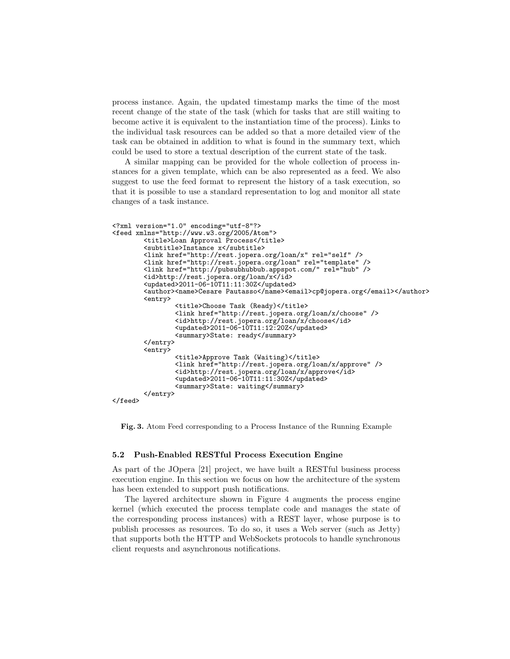process instance. Again, the updated timestamp marks the time of the most recent change of the state of the task (which for tasks that are still waiting to become active it is equivalent to the instantiation time of the process). Links to the individual task resources can be added so that a more detailed view of the task can be obtained in addition to what is found in the summary text, which could be used to store a textual description of the current state of the task.

A similar mapping can be provided for the whole collection of process instances for a given template, which can be also represented as a feed. We also suggest to use the feed format to represent the history of a task execution, so that it is possible to use a standard representation to log and monitor all state changes of a task instance.

```
<?xml version="1.0" encoding="utf-8"?>
<feed xmlns="http://www.w3.org/2005/Atom">
        <title>Loan Approval Process</title>
        <subtitle>Instance x</subtitle>
        <link href="http://rest.jopera.org/loan/x" rel="self" />
        <link href="http://rest.jopera.org/loan" rel="template" />
        <link href="http://pubsubhubbub.appspot.com/" rel="hub" />
        <id>http://rest.jopera.org/loan/x</id>
        <updated>2011-06-10T11:11:30Z</updated>
        <author><name>Cesare Pautasso</name><email>cp@jopera.org</email></author>
        <entry>
                <title>Choose Task (Ready)</title>
                <link href="http://rest.jopera.org/loan/x/choose" />
                <id>http://rest.jopera.org/loan/x/choose</id>
                <updated>2011-06-10T11:12:20Z</updated>
                <summary>State: ready</summary>
        </entry>
        <entry>
                <title>Approve Task (Waiting)</title>
                <link href="http://rest.jopera.org/loan/x/approve" />
                <id>http://rest.jopera.org/loan/x/approve</id>
                <updated>2011-06-10T11:11:30Z</updated>
                <summary>State: waiting</summary>
        </entry>
</feed>
```
Fig. 3. Atom Feed corresponding to a Process Instance of the Running Example

#### 5.2 Push-Enabled RESTful Process Execution Engine

As part of the JOpera [21] project, we have built a RESTful business process execution engine. In this section we focus on how the architecture of the system has been extended to support push notifications.

The layered architecture shown in Figure 4 augments the process engine kernel (which executed the process template code and manages the state of the corresponding process instances) with a REST layer, whose purpose is to publish processes as resources. To do so, it uses a Web server (such as Jetty) that supports both the HTTP and WebSockets protocols to handle synchronous client requests and asynchronous notifications.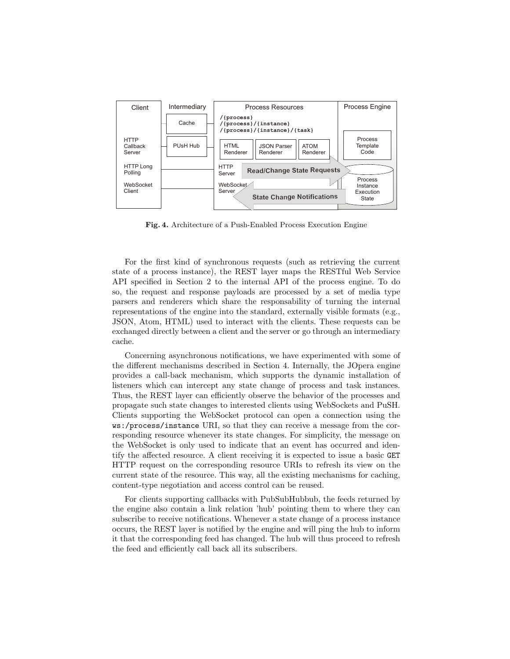

Fig. 4. Architecture of a Push-Enabled Process Execution Engine

For the first kind of synchronous requests (such as retrieving the current state of a process instance), the REST layer maps the RESTful Web Service API specified in Section 2 to the internal API of the process engine. To do so, the request and response payloads are processed by a set of media type parsers and renderers which share the responsability of turning the internal representations of the engine into the standard, externally visible formats (e.g., JSON, Atom, HTML) used to interact with the clients. These requests can be exchanged directly between a client and the server or go through an intermediary cache.

Concerning asynchronous notifications, we have experimented with some of the different mechanisms described in Section 4. Internally, the JOpera engine provides a call-back mechanism, which supports the dynamic installation of listeners which can intercept any state change of process and task instances. Thus, the REST layer can efficiently observe the behavior of the processes and propagate such state changes to interested clients using WebSockets and PuSH. Clients supporting the WebSocket protocol can open a connection using the ws:/process/instance URI, so that they can receive a message from the corresponding resource whenever its state changes. For simplicity, the message on the WebSocket is only used to indicate that an event has occurred and identify the affected resource. A client receiving it is expected to issue a basic GET HTTP request on the corresponding resource URIs to refresh its view on the current state of the resource. This way, all the existing mechanisms for caching, content-type negotiation and access control can be reused.

For clients supporting callbacks with PubSubHubbub, the feeds returned by the engine also contain a link relation 'hub' pointing them to where they can subscribe to receive notifications. Whenever a state change of a process instance occurs, the REST layer is notified by the engine and will ping the hub to inform it that the corresponding feed has changed. The hub will thus proceed to refresh the feed and efficiently call back all its subscribers.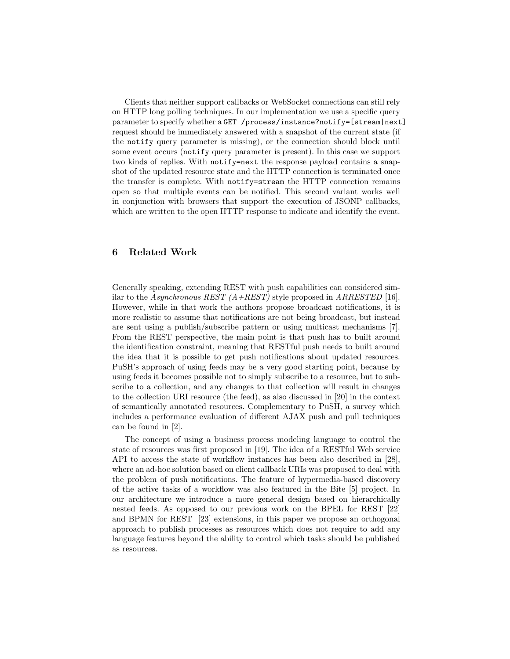Clients that neither support callbacks or WebSocket connections can still rely on HTTP long polling techniques. In our implementation we use a specific query parameter to specify whether a GET /process/instance?notify=[stream|next] request should be immediately answered with a snapshot of the current state (if the notify query parameter is missing), or the connection should block until some event occurs (notify query parameter is present). In this case we support two kinds of replies. With notify=next the response payload contains a snapshot of the updated resource state and the HTTP connection is terminated once the transfer is complete. With notify=stream the HTTP connection remains open so that multiple events can be notified. This second variant works well in conjunction with browsers that support the execution of JSONP callbacks, which are written to the open HTTP response to indicate and identify the event.

# 6 Related Work

Generally speaking, extending REST with push capabilities can considered similar to the Asynchronous REST  $(A+REST)$  style proposed in  $ARRESTED$  [16]. However, while in that work the authors propose broadcast notifications, it is more realistic to assume that notifications are not being broadcast, but instead are sent using a publish/subscribe pattern or using multicast mechanisms [7]. From the REST perspective, the main point is that push has to built around the identification constraint, meaning that RESTful push needs to built around the idea that it is possible to get push notifications about updated resources. PuSH's approach of using feeds may be a very good starting point, because by using feeds it becomes possible not to simply subscribe to a resource, but to subscribe to a collection, and any changes to that collection will result in changes to the collection URI resource (the feed), as also discussed in [20] in the context of semantically annotated resources. Complementary to PuSH, a survey which includes a performance evaluation of different AJAX push and pull techniques can be found in [2].

The concept of using a business process modeling language to control the state of resources was first proposed in [19]. The idea of a RESTful Web service API to access the state of workflow instances has been also described in [28], where an ad-hoc solution based on client callback URIs was proposed to deal with the problem of push notifications. The feature of hypermedia-based discovery of the active tasks of a workflow was also featured in the Bite [5] project. In our architecture we introduce a more general design based on hierarchically nested feeds. As opposed to our previous work on the BPEL for REST [22] and BPMN for REST [23] extensions, in this paper we propose an orthogonal approach to publish processes as resources which does not require to add any language features beyond the ability to control which tasks should be published as resources.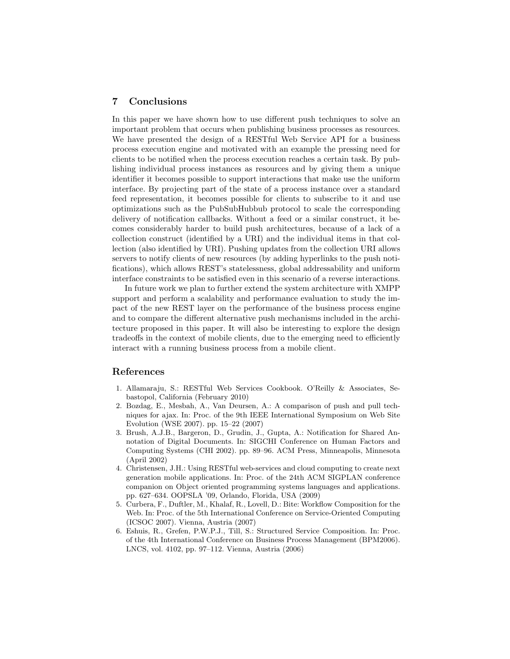# 7 Conclusions

In this paper we have shown how to use different push techniques to solve an important problem that occurs when publishing business processes as resources. We have presented the design of a RESTful Web Service API for a business process execution engine and motivated with an example the pressing need for clients to be notified when the process execution reaches a certain task. By publishing individual process instances as resources and by giving them a unique identifier it becomes possible to support interactions that make use the uniform interface. By projecting part of the state of a process instance over a standard feed representation, it becomes possible for clients to subscribe to it and use optimizations such as the PubSubHubbub protocol to scale the corresponding delivery of notification callbacks. Without a feed or a similar construct, it becomes considerably harder to build push architectures, because of a lack of a collection construct (identified by a URI) and the individual items in that collection (also identified by URI). Pushing updates from the collection URI allows servers to notify clients of new resources (by adding hyperlinks to the push notifications), which allows REST's statelessness, global addressability and uniform interface constraints to be satisfied even in this scenario of a reverse interactions.

In future work we plan to further extend the system architecture with XMPP support and perform a scalability and performance evaluation to study the impact of the new REST layer on the performance of the business process engine and to compare the different alternative push mechanisms included in the architecture proposed in this paper. It will also be interesting to explore the design tradeoffs in the context of mobile clients, due to the emerging need to efficiently interact with a running business process from a mobile client.

### References

- 1. Allamaraju, S.: RESTful Web Services Cookbook. O'Reilly & Associates, Sebastopol, California (February 2010)
- 2. Bozdag, E., Mesbah, A., Van Deursen, A.: A comparison of push and pull techniques for ajax. In: Proc. of the 9th IEEE International Symposium on Web Site Evolution (WSE 2007). pp. 15–22 (2007)
- 3. Brush, A.J.B., Bargeron, D., Grudin, J., Gupta, A.: Notification for Shared Annotation of Digital Documents. In: SIGCHI Conference on Human Factors and Computing Systems (CHI 2002). pp. 89–96. ACM Press, Minneapolis, Minnesota (April 2002)
- 4. Christensen, J.H.: Using RESTful web-services and cloud computing to create next generation mobile applications. In: Proc. of the 24th ACM SIGPLAN conference companion on Object oriented programming systems languages and applications. pp. 627–634. OOPSLA '09, Orlando, Florida, USA (2009)
- 5. Curbera, F., Duftler, M., Khalaf, R., Lovell, D.: Bite: Workflow Composition for the Web. In: Proc. of the 5th International Conference on Service-Oriented Computing (ICSOC 2007). Vienna, Austria (2007)
- 6. Eshuis, R., Grefen, P.W.P.J., Till, S.: Structured Service Composition. In: Proc. of the 4th International Conference on Business Process Management (BPM2006). LNCS, vol. 4102, pp. 97–112. Vienna, Austria (2006)